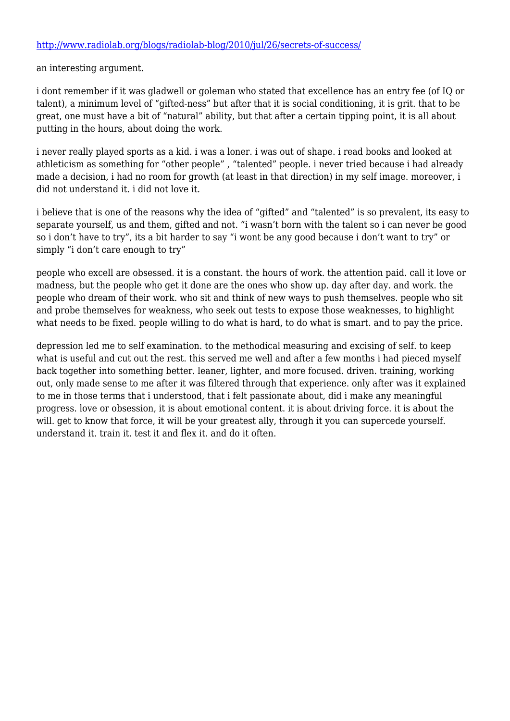## <http://www.radiolab.org/blogs/radiolab-blog/2010/jul/26/secrets-of-success/>

an interesting argument.

i dont remember if it was gladwell or goleman who stated that excellence has an entry fee (of IQ or talent), a minimum level of "gifted-ness" but after that it is social conditioning, it is grit. that to be great, one must have a bit of "natural" ability, but that after a certain tipping point, it is all about putting in the hours, about doing the work.

i never really played sports as a kid. i was a loner. i was out of shape. i read books and looked at athleticism as something for "other people" , "talented" people. i never tried because i had already made a decision, i had no room for growth (at least in that direction) in my self image. moreover, i did not understand it. i did not love it.

i believe that is one of the reasons why the idea of "gifted" and "talented" is so prevalent, its easy to separate yourself, us and them, gifted and not. "i wasn't born with the talent so i can never be good so i don't have to try", its a bit harder to say "i wont be any good because i don't want to try" or simply "i don't care enough to try"

people who excell are obsessed. it is a constant. the hours of work. the attention paid. call it love or madness, but the people who get it done are the ones who show up. day after day. and work. the people who dream of their work. who sit and think of new ways to push themselves. people who sit and probe themselves for weakness, who seek out tests to expose those weaknesses, to highlight what needs to be fixed. people willing to do what is hard, to do what is smart. and to pay the price.

depression led me to self examination. to the methodical measuring and excising of self. to keep what is useful and cut out the rest. this served me well and after a few months i had pieced myself back together into something better. leaner, lighter, and more focused. driven. training, working out, only made sense to me after it was filtered through that experience. only after was it explained to me in those terms that i understood, that i felt passionate about, did i make any meaningful progress. love or obsession, it is about emotional content. it is about driving force. it is about the will. get to know that force, it will be your greatest ally, through it you can supercede yourself. understand it. train it. test it and flex it. and do it often.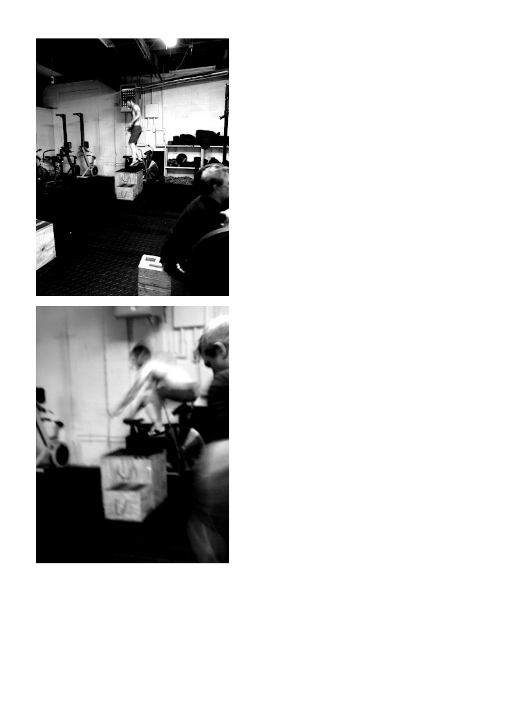

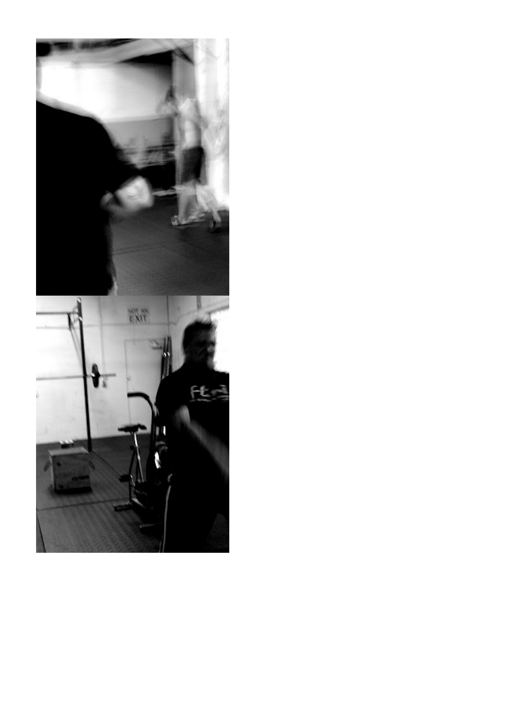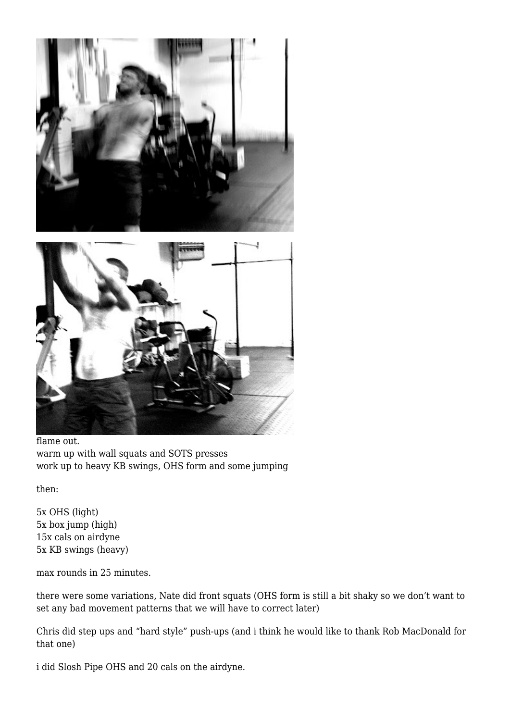

flame out. warm up with wall squats and SOTS presses work up to heavy KB swings, OHS form and some jumping

then:

5x OHS (light) 5x box jump (high) 15x cals on airdyne 5x KB swings (heavy)

max rounds in 25 minutes.

there were some variations, Nate did front squats (OHS form is still a bit shaky so we don't want to set any bad movement patterns that we will have to correct later)

Chris did step ups and "hard style" push-ups (and i think he would like to thank Rob MacDonald for that one)

i did Slosh Pipe OHS and 20 cals on the airdyne.